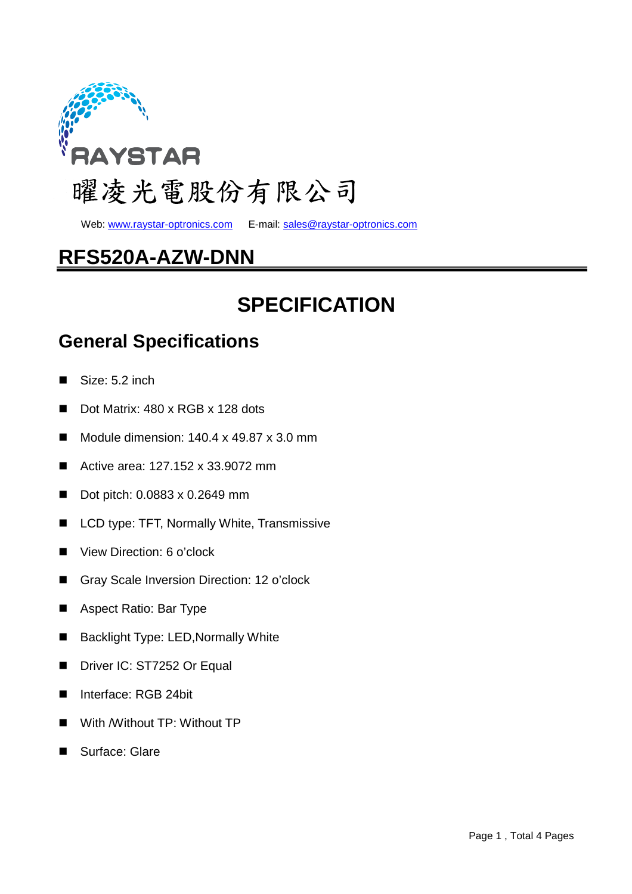

web: www.raystar-optronics.com E-mail: sales@raystar-optronics.com

## **RFS520A-AZW-DNN**

# **SPECIFICATION**

## **General Specifications**

- Size: 5.2 inch
- Dot Matrix: 480 x RGB x 128 dots
- Module dimension:  $140.4 \times 49.87 \times 3.0 \text{ mm}$
- Active area: 127.152 x 33.9072 mm
- Dot pitch: 0.0883 x 0.2649 mm
- LCD type: TFT, Normally White, Transmissive
- View Direction: 6 o'clock
- Gray Scale Inversion Direction: 12 o'clock
- Aspect Ratio: Bar Type
- Backlight Type: LED,Normally White
- Driver IC: ST7252 Or Equal
- Interface: RGB 24bit
- With /Without TP: Without TP
- Surface: Glare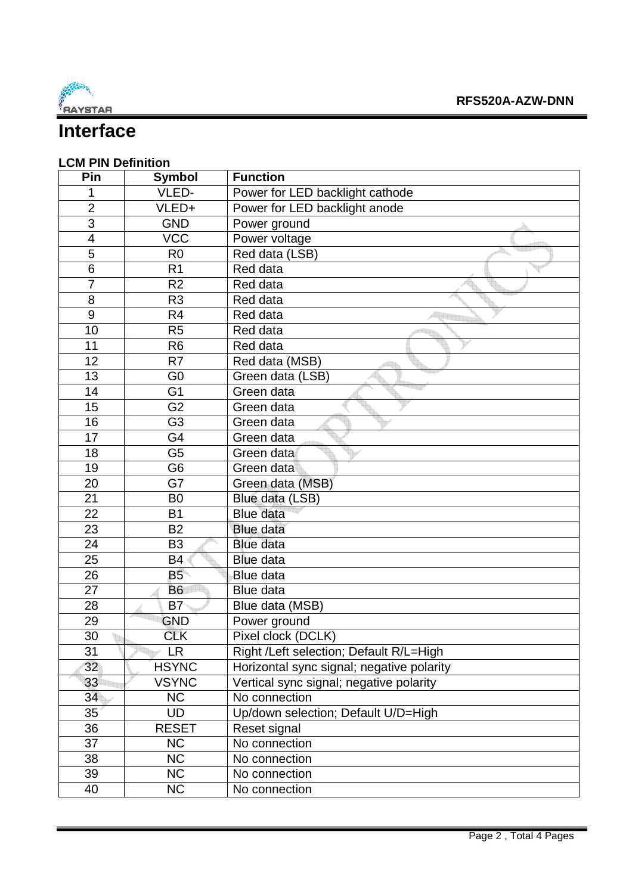

## **Interface**

### **LCM PIN Definition**

| Pin                      | Symbol         | <b>Function</b>                           |
|--------------------------|----------------|-------------------------------------------|
| 1                        | VLED-          | Power for LED backlight cathode           |
| $\overline{2}$           | VLED+          | Power for LED backlight anode             |
| $\overline{3}$           | <b>GND</b>     | Power ground                              |
| $\overline{\mathcal{A}}$ | <b>VCC</b>     | Power voltage                             |
| 5                        | R <sub>0</sub> | Red data (LSB)                            |
| 6                        | R <sub>1</sub> | Red data                                  |
| $\overline{7}$           | R <sub>2</sub> | Red data                                  |
| 8                        | R <sub>3</sub> | Red data                                  |
| 9                        | R <sub>4</sub> | Red data                                  |
| 10                       | R <sub>5</sub> | Red data                                  |
| 11                       | R <sub>6</sub> | Red data                                  |
| 12                       | R <sub>7</sub> | Red data (MSB)                            |
| 13                       | G <sub>0</sub> | Green data (LSB)                          |
| 14                       | G <sub>1</sub> | Green data                                |
| 15                       | G <sub>2</sub> | Green data                                |
| 16                       | G <sub>3</sub> | Green data                                |
| 17                       | G4             | Green data                                |
| 18                       | G <sub>5</sub> | Green data                                |
| 19                       | G <sub>6</sub> | Green data                                |
| 20                       | G7             | Green data (MSB)                          |
| 21                       | B <sub>0</sub> | Blue data (LSB)                           |
| 22                       | <b>B1</b>      | <b>Blue data</b>                          |
| 23                       | <b>B2</b>      | <b>Blue data</b>                          |
| 24                       | B <sub>3</sub> | <b>Blue data</b>                          |
| 25                       | <b>B4</b>      | <b>Blue data</b>                          |
| 26                       | <b>B5</b>      | Blue data                                 |
| 27                       | <b>B6</b>      | Blue data                                 |
| 28                       | B7             | Blue data (MSB)                           |
| 29                       | <b>GND</b>     | Power ground                              |
| 30                       | <b>CLK</b>     | Pixel clock (DCLK)                        |
| 31                       | <b>LR</b>      | Right /Left selection; Default R/L=High   |
| 32                       | <b>HSYNC</b>   | Horizontal sync signal; negative polarity |
| 33                       | <b>VSYNC</b>   | Vertical sync signal; negative polarity   |
| 34                       | <b>NC</b>      | No connection                             |
| 35                       | <b>UD</b>      | Up/down selection; Default U/D=High       |
| 36                       | <b>RESET</b>   | Reset signal                              |
| 37                       | <b>NC</b>      | No connection                             |
| 38                       | <b>NC</b>      | No connection                             |
| 39                       | <b>NC</b>      | No connection                             |
| 40                       | <b>NC</b>      | No connection                             |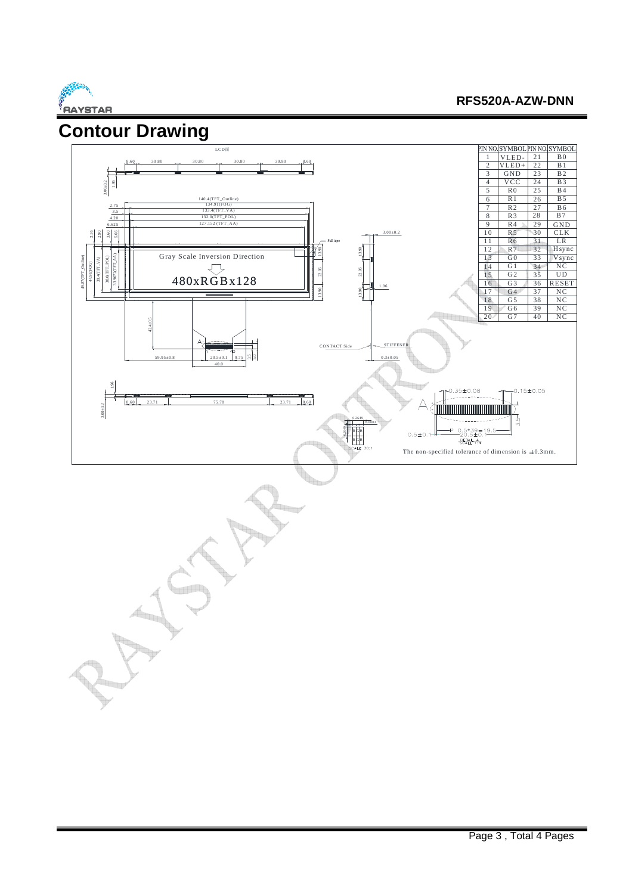

#### **RFS520A-AZW-DNN**

 $\frac{34}{35}$ 

31  $rac{32}{33}$ 

LR CLK G ND

H sync Vsync

NC<br>UD RESET

NC NC NC NC

 $\frac{29}{30}$ 

 $\frac{22}{23}$ 

21 B0  $B1$  $\overline{B2}$ 

24 B3<br>25 B4<br>26 B5<br>27 B6  $\frac{1}{B4}$ 

 $\begin{array}{|c|c|c|}\n\hline\n27 & B6 \\
\hline\n28 & B7 \\
\hline\n\end{array}$  $B7$ **B5** 

 $rac{36}{37}$ 38

39 40



- 11 Jul